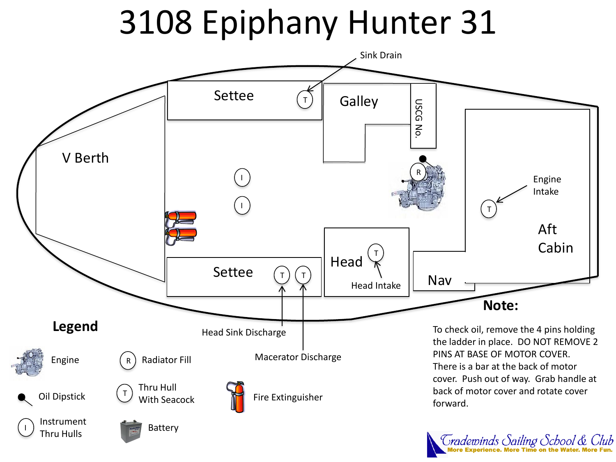# 3108 Epiphany Hunter 31



Tradewinds Sailing School & Club<br>More Experience. More Time on the Water. More Fun.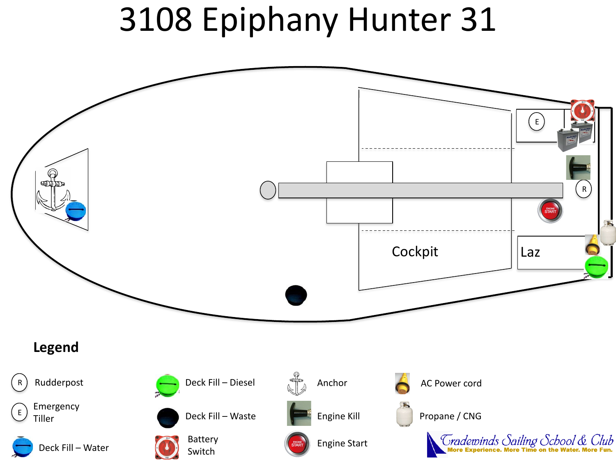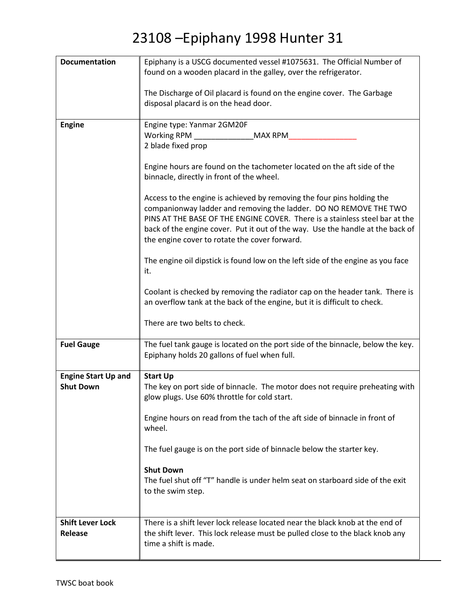| <b>Documentation</b>       | Epiphany is a USCG documented vessel #1075631. The Official Number of           |
|----------------------------|---------------------------------------------------------------------------------|
|                            | found on a wooden placard in the galley, over the refrigerator.                 |
|                            |                                                                                 |
|                            | The Discharge of Oil placard is found on the engine cover. The Garbage          |
|                            | disposal placard is on the head door.                                           |
|                            |                                                                                 |
| <b>Engine</b>              | Engine type: Yanmar 2GM20F                                                      |
|                            | Working RPM<br>MAX RPM                                                          |
|                            | 2 blade fixed prop                                                              |
|                            |                                                                                 |
|                            | Engine hours are found on the tachometer located on the aft side of the         |
|                            | binnacle, directly in front of the wheel.                                       |
|                            |                                                                                 |
|                            | Access to the engine is achieved by removing the four pins holding the          |
|                            | companionway ladder and removing the ladder. DO NO REMOVE THE TWO               |
|                            | PINS AT THE BASE OF THE ENGINE COVER. There is a stainless steel bar at the     |
|                            | back of the engine cover. Put it out of the way. Use the handle at the back of  |
|                            | the engine cover to rotate the cover forward.                                   |
|                            |                                                                                 |
|                            | The engine oil dipstick is found low on the left side of the engine as you face |
|                            | it.                                                                             |
|                            |                                                                                 |
|                            | Coolant is checked by removing the radiator cap on the header tank. There is    |
|                            | an overflow tank at the back of the engine, but it is difficult to check.       |
|                            |                                                                                 |
|                            | There are two belts to check.                                                   |
|                            |                                                                                 |
| <b>Fuel Gauge</b>          | The fuel tank gauge is located on the port side of the binnacle, below the key. |
|                            | Epiphany holds 20 gallons of fuel when full.                                    |
|                            |                                                                                 |
| <b>Engine Start Up and</b> | <b>Start Up</b>                                                                 |
| <b>Shut Down</b>           | The key on port side of binnacle. The motor does not require preheating with    |
|                            | glow plugs. Use 60% throttle for cold start.                                    |
|                            |                                                                                 |
|                            | Engine hours on read from the tach of the aft side of binnacle in front of      |
|                            | wheel.                                                                          |
|                            |                                                                                 |
|                            | The fuel gauge is on the port side of binnacle below the starter key.           |
|                            |                                                                                 |
|                            | <b>Shut Down</b>                                                                |
|                            | The fuel shut off "T" handle is under helm seat on starboard side of the exit   |
|                            | to the swim step.                                                               |
|                            |                                                                                 |
|                            |                                                                                 |
| <b>Shift Lever Lock</b>    | There is a shift lever lock release located near the black knob at the end of   |
| Release                    | the shift lever. This lock release must be pulled close to the black knob any   |
|                            | time a shift is made.                                                           |
|                            |                                                                                 |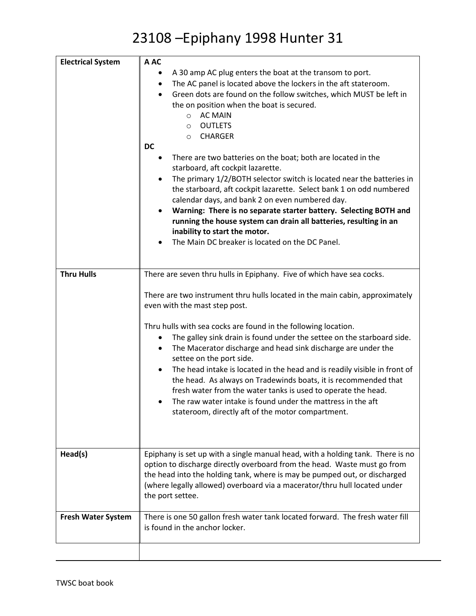| <b>Electrical System</b>  | A AC                                                                                                                                                                                                                                                                                                                                                                                                                                                                                                                                                                                    |
|---------------------------|-----------------------------------------------------------------------------------------------------------------------------------------------------------------------------------------------------------------------------------------------------------------------------------------------------------------------------------------------------------------------------------------------------------------------------------------------------------------------------------------------------------------------------------------------------------------------------------------|
|                           | A 30 amp AC plug enters the boat at the transom to port.<br>The AC panel is located above the lockers in the aft stateroom.<br>$\bullet$<br>Green dots are found on the follow switches, which MUST be left in<br>$\bullet$<br>the on position when the boat is secured.<br>O AC MAIN<br><b>OUTLETS</b><br>$\circ$<br><b>CHARGER</b><br>$\circ$<br><b>DC</b><br>There are two batteries on the boat; both are located in the                                                                                                                                                            |
|                           | starboard, aft cockpit lazarette.<br>The primary 1/2/BOTH selector switch is located near the batteries in<br>the starboard, aft cockpit lazarette. Select bank 1 on odd numbered<br>calendar days, and bank 2 on even numbered day.<br>Warning: There is no separate starter battery. Selecting BOTH and<br>running the house system can drain all batteries, resulting in an                                                                                                                                                                                                          |
|                           | inability to start the motor.<br>The Main DC breaker is located on the DC Panel.                                                                                                                                                                                                                                                                                                                                                                                                                                                                                                        |
| <b>Thru Hulls</b>         | There are seven thru hulls in Epiphany. Five of which have sea cocks.                                                                                                                                                                                                                                                                                                                                                                                                                                                                                                                   |
|                           | There are two instrument thru hulls located in the main cabin, approximately<br>even with the mast step post.                                                                                                                                                                                                                                                                                                                                                                                                                                                                           |
|                           | Thru hulls with sea cocks are found in the following location.<br>The galley sink drain is found under the settee on the starboard side.<br>The Macerator discharge and head sink discharge are under the<br>$\bullet$<br>settee on the port side.<br>The head intake is located in the head and is readily visible in front of<br>the head. As always on Tradewinds boats, it is recommended that<br>fresh water from the water tanks is used to operate the head.<br>The raw water intake is found under the mattress in the aft<br>stateroom, directly aft of the motor compartment. |
|                           |                                                                                                                                                                                                                                                                                                                                                                                                                                                                                                                                                                                         |
| Head(s)                   | Epiphany is set up with a single manual head, with a holding tank. There is no<br>option to discharge directly overboard from the head. Waste must go from<br>the head into the holding tank, where is may be pumped out, or discharged<br>(where legally allowed) overboard via a macerator/thru hull located under<br>the port settee.                                                                                                                                                                                                                                                |
| <b>Fresh Water System</b> | There is one 50 gallon fresh water tank located forward. The fresh water fill<br>is found in the anchor locker.                                                                                                                                                                                                                                                                                                                                                                                                                                                                         |
|                           |                                                                                                                                                                                                                                                                                                                                                                                                                                                                                                                                                                                         |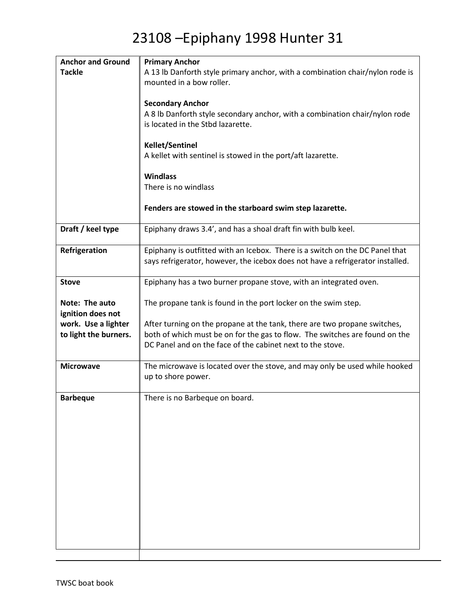| <b>Anchor and Ground</b> | <b>Primary Anchor</b>                                                          |
|--------------------------|--------------------------------------------------------------------------------|
| <b>Tackle</b>            | A 13 lb Danforth style primary anchor, with a combination chair/nylon rode is  |
|                          | mounted in a bow roller.                                                       |
|                          |                                                                                |
|                          | <b>Secondary Anchor</b>                                                        |
|                          | A 8 lb Danforth style secondary anchor, with a combination chair/nylon rode    |
|                          | is located in the Stbd lazarette.                                              |
|                          |                                                                                |
|                          | <b>Kellet/Sentinel</b>                                                         |
|                          | A kellet with sentinel is stowed in the port/aft lazarette.                    |
|                          |                                                                                |
|                          | <b>Windlass</b>                                                                |
|                          | There is no windlass                                                           |
|                          |                                                                                |
|                          | Fenders are stowed in the starboard swim step lazarette.                       |
|                          |                                                                                |
| Draft / keel type        | Epiphany draws 3.4', and has a shoal draft fin with bulb keel.                 |
|                          |                                                                                |
| Refrigeration            | Epiphany is outfitted with an Icebox. There is a switch on the DC Panel that   |
|                          | says refrigerator, however, the icebox does not have a refrigerator installed. |
|                          |                                                                                |
| <b>Stove</b>             | Epiphany has a two burner propane stove, with an integrated oven.              |
|                          |                                                                                |
| Note: The auto           | The propane tank is found in the port locker on the swim step.                 |
| ignition does not        |                                                                                |
| work. Use a lighter      | After turning on the propane at the tank, there are two propane switches,      |
| to light the burners.    | both of which must be on for the gas to flow. The switches are found on the    |
|                          | DC Panel and on the face of the cabinet next to the stove.                     |
|                          |                                                                                |
| <b>Microwave</b>         | The microwave is located over the stove, and may only be used while hooked     |
|                          | up to shore power.                                                             |
|                          |                                                                                |
| <b>Barbeque</b>          | There is no Barbeque on board.                                                 |
|                          |                                                                                |
|                          |                                                                                |
|                          |                                                                                |
|                          |                                                                                |
|                          |                                                                                |
|                          |                                                                                |
|                          |                                                                                |
|                          |                                                                                |
|                          |                                                                                |
|                          |                                                                                |
|                          |                                                                                |
|                          |                                                                                |
|                          |                                                                                |
|                          |                                                                                |